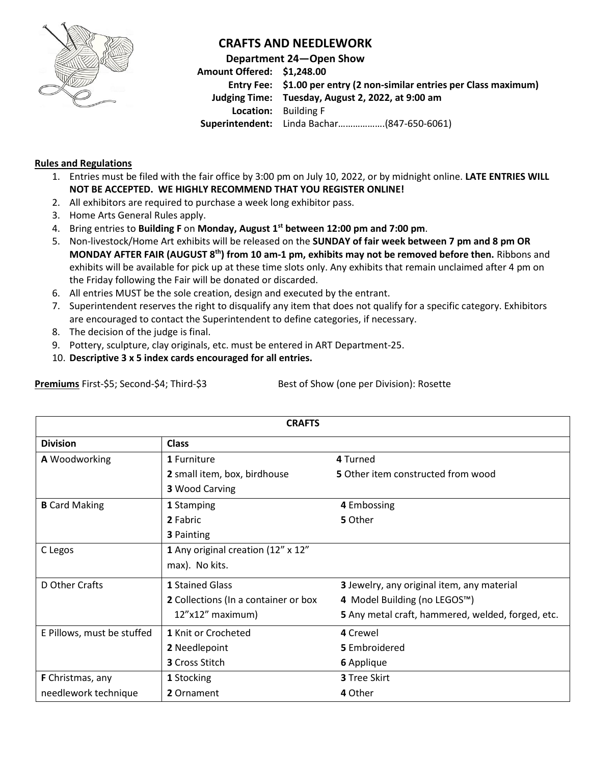

## **CRAFTS AND NEEDLEWORK**

**Department 24—Open Show Amount Offered: \$1,248.00 Entry Fee: \$1.00 per entry (2 non-similar entries per Class maximum) Judging Time: Tuesday, August 2, 2022, at 9:00 am Location:** Building F **Superintendent:** Linda Bachar……………….(847-650-6061)

## **Rules and Regulations**

- 1. Entries must be filed with the fair office by 3:00 pm on July 10, 2022, or by midnight online. **LATE ENTRIES WILL NOT BE ACCEPTED. WE HIGHLY RECOMMEND THAT YOU REGISTER ONLINE!**
- 2. All exhibitors are required to purchase a week long exhibitor pass.
- 3. Home Arts General Rules apply.
- 4. Bring entries to **Building F** on **Monday, August 1 st between 12:00 pm and 7:00 pm**.
- 5. Non-livestock/Home Art exhibits will be released on the **SUNDAY of fair week between 7 pm and 8 pm OR MONDAY AFTER FAIR (AUGUST 8 th) from 10 am-1 pm, exhibits may not be removed before then.** Ribbons and exhibits will be available for pick up at these time slots only. Any exhibits that remain unclaimed after 4 pm on the Friday following the Fair will be donated or discarded.
- 6. All entries MUST be the sole creation, design and executed by the entrant.
- 7. Superintendent reserves the right to disqualify any item that does not qualify for a specific category. Exhibitors are encouraged to contact the Superintendent to define categories, if necessary.
- 8. The decision of the judge is final.
- 9. Pottery, sculpture, clay originals, etc. must be entered in ART Department-25.
- 10. **Descriptive 3 x 5 index cards encouraged for all entries.**

| <b>CRAFTS</b>              |                                      |                                                   |  |  |  |
|----------------------------|--------------------------------------|---------------------------------------------------|--|--|--|
|                            |                                      |                                                   |  |  |  |
| A Woodworking              | 1 Furniture                          | 4 Turned                                          |  |  |  |
|                            | 2 small item, box, birdhouse         | 5 Other item constructed from wood                |  |  |  |
|                            | <b>3 Wood Carving</b>                |                                                   |  |  |  |
| <b>B</b> Card Making       | 1 Stamping                           | 4 Embossing                                       |  |  |  |
|                            | 2 Fabric                             | 5 Other                                           |  |  |  |
|                            | <b>3 Painting</b>                    |                                                   |  |  |  |
| C Legos                    | 1 Any original creation (12" x 12"   |                                                   |  |  |  |
|                            | max). No kits.                       |                                                   |  |  |  |
| D Other Crafts             | 1 Stained Glass                      | 3 Jewelry, any original item, any material        |  |  |  |
|                            | 2 Collections (In a container or box | 4 Model Building (no LEGOS™)                      |  |  |  |
|                            | 12"x12" maximum)                     | 5 Any metal craft, hammered, welded, forged, etc. |  |  |  |
| E Pillows, must be stuffed | 1 Knit or Crocheted                  | 4 Crewel                                          |  |  |  |
|                            | 2 Needlepoint                        | 5 Embroidered                                     |  |  |  |
|                            | 3 Cross Stitch                       | 6 Applique                                        |  |  |  |
| <b>F</b> Christmas, any    | 1 Stocking                           | 3 Tree Skirt                                      |  |  |  |
| needlework technique       | 2 Ornament                           | 4 Other                                           |  |  |  |

**Premiums** First-\$5; Second-\$4; Third-\$3 Best of Show (one per Division): Rosette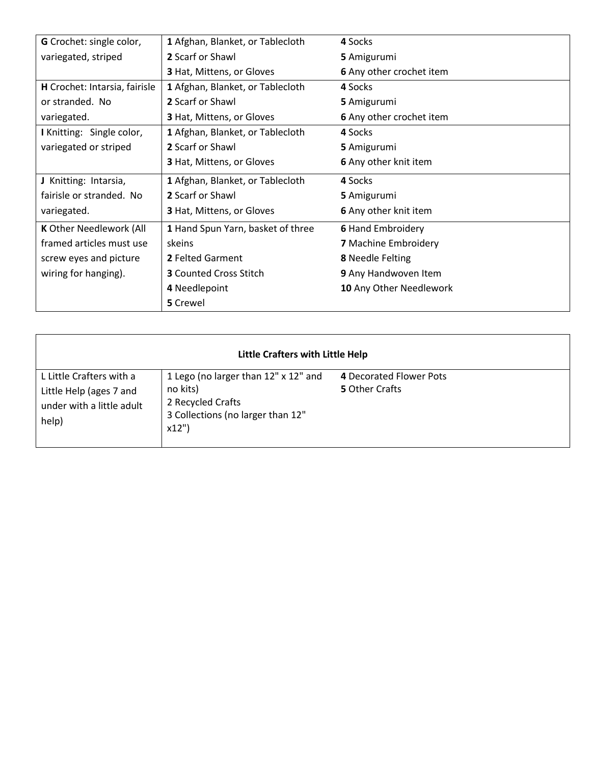| G Crochet: single color,                              | 1 Afghan, Blanket, or Tablecloth  | 4 Socks                  |
|-------------------------------------------------------|-----------------------------------|--------------------------|
| variegated, striped                                   | 2 Scarf or Shawl                  | 5 Amigurumi              |
|                                                       | <b>3</b> Hat, Mittens, or Gloves  | 6 Any other crochet item |
| H Crochet: Intarsia, fairisle                         | 1 Afghan, Blanket, or Tablecloth  | 4 Socks                  |
| or stranded. No                                       | 2 Scarf or Shawl                  | 5 Amigurumi              |
| variegated.                                           | <b>3</b> Hat, Mittens, or Gloves  | 6 Any other crochet item |
| I Knitting: Single color,                             | 1 Afghan, Blanket, or Tablecloth  | 4 Socks                  |
| variegated or striped                                 | 2 Scarf or Shawl                  | 5 Amigurumi              |
|                                                       | <b>3 Hat, Mittens, or Gloves</b>  | 6 Any other knit item    |
| J Knitting: Intarsia,                                 | 1 Afghan, Blanket, or Tablecloth  | 4 Socks                  |
| fairisle or stranded. No                              | 2 Scarf or Shawl                  | 5 Amigurumi              |
| variegated.                                           | <b>3</b> Hat, Mittens, or Gloves  | 6 Any other knit item    |
| K Other Needlework (All                               | 1 Hand Spun Yarn, basket of three | <b>6 Hand Embroidery</b> |
| framed articles must use                              | skeins                            | 7 Machine Embroidery     |
| screw eyes and picture                                | 2 Felted Garment                  | 8 Needle Felting         |
| <b>3</b> Counted Cross Stitch<br>wiring for hanging). |                                   | 9 Any Handwoven Item     |
|                                                       | 4 Needlepoint                     | 10 Any Other Needlework  |
|                                                       | 5 Crewel                          |                          |

| Little Crafters with Little Help                                                          |                                                                                                                    |                                           |  |  |  |  |
|-------------------------------------------------------------------------------------------|--------------------------------------------------------------------------------------------------------------------|-------------------------------------------|--|--|--|--|
| L Little Crafters with a<br>Little Help (ages 7 and<br>under with a little adult<br>help) | 1 Lego (no larger than 12" x 12" and<br>no kits)<br>2 Recycled Crafts<br>3 Collections (no larger than 12"<br>x12" | 4 Decorated Flower Pots<br>5 Other Crafts |  |  |  |  |